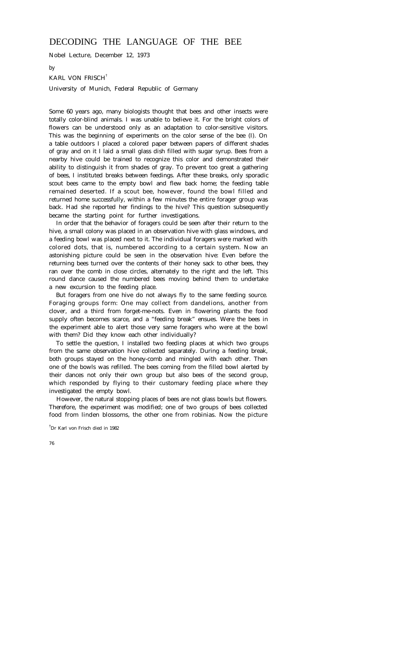## DECODING THE LANGUAGE OF THE BEE

Nobel Lecture, December 12, 1973

by

KARL VON FRISCH†

University of Munich, Federal Republic of Germany

Some 60 years ago, many biologists thought that bees and other insects were totally color-blind animals. I was unable to believe it. For the bright colors of flowers can be understood only as an adaptation to color-sensitive visitors. This was the beginning of experiments on the color sense of the bee (I). On a table outdoors I placed a colored paper between papers of different shades of gray and on it I laid a small glass dish filled with sugar syrup. Bees from a nearby hive could be trained to recognize this color and demonstrated their ability to distinguish it from shades of gray. To prevent too great a gathering of bees, I instituted breaks between feedings. After these breaks, only sporadic scout bees came to the empty bowl and flew back home; the feeding table remained deserted. If a scout bee, however, found the bowl filled and returned home successfully, within a few minutes the entire forager group was back. Had she reported her findings to the hive? This question subsequently became the starting point for further investigations.

In order that the behavior of foragers could be seen after their return to the hive, a small colony was placed in an observation hive with glass windows, and a feeding bowl was placed next to it. The individual foragers were marked with colored dots, that is, numbered according to a certain system. Now an astonishing picture could be seen in the observation hive: Even before the returning bees turned over the contents of their honey sack to other bees, they ran over the comb in close circles, alternately to the right and the left. This round dance caused the numbered bees moving behind them to undertake a new excursion to the feeding place.

But foragers from one hive do not always fly to the same feeding source. Foraging groups form: One may collect from dandelions, another from clover, and a third from forget-me-nots. Even in flowering plants the food supply often becomes scarce, and a "feeding break" ensues. Were the bees in the experiment able to alert those very same foragers who were at the bowl with them? Did they know each other individually?

To settle the question, I installed two feeding places at which two groups from the same observation hive collected separately. During a feeding break, both groups stayed on the honey-comb and mingled with each other. Then one of the bowls was refilled. The bees coming from the filled bowl alerted by their dances not only their own group but also bees of the second group, which responded by flying to their customary feeding place where they investigated the empty bowl.

However, the natural stopping places of bees are not glass bowls but flowers. Therefore, the experiment was modified; one of two groups of bees collected food from linden blossoms, the other one from robinias. Now the picture

† Dr Karl von Frisch died in 1982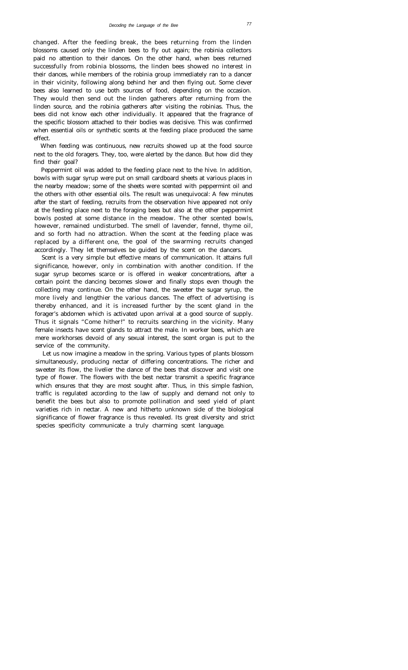changed. After the feeding break, the bees returning from the linden blossoms caused only the linden bees to fly out again; the robinia collectors paid no attention to their dances. On the other hand, when bees returned successfully from robinia blossoms, the linden bees showed no interest in their dances, while members of the robinia group immediately ran to a dancer in their vicinity, following along behind her and then flying out. Some clever bees also learned to use both sources of food, depending on the occasion. They would then send out the linden gatherers after returning from the linden source, and the robinia gatherers after visiting the robinias. Thus, the bees did not know each other individually. It appeared that the fragrance of the specific blossom attached to their bodies was decisive. This was confirmed when essential oils or synthetic scents at the feeding place produced the same effect.

When feeding was continuous, new recruits showed up at the food source next to the old foragers. They, too, were alerted by the dance. But how did they find their goal?

Peppermint oil was added to the feeding place next to the hive. In addition, bowls with sugar syrup were put on small cardboard sheets at various places in the nearby meadow; some of the sheets were scented with peppermint oil and the others with other essential oils. The result was unequivocal: A few minutes after the start of feeding, recruits from the observation hive appeared not only at the feeding place next to the foraging bees but also at the other peppermint bowls posted at some distance in the meadow. The other scented bowls, however, remained undisturbed. The smell of lavender, fennel, thyme oil, and so forth had no attraction. When the scent at the feeding place was replaced by a different one, the goal of the swarming recruits changed accordingly. They let themselves be guided by the scent on the dancers.

Scent is a very simple but effective means of communication. It attains full significance, however, only in combination with another condition. If the sugar syrup becomes scarce or is offered in weaker concentrations, after a certain point the dancing becomes slower and finally stops even though the collecting may continue. On the other hand, the sweeter the sugar syrup, the more lively and lengthier the various dances. The effect of advertising is thereby enhanced, and it is increased further by the scent gland in the forager's abdomen which is activated upon arrival at a good source of supply. Thus it signals "Come hither!" to recruits searching in the vicinity. Many female insects have scent glands to attract the male. In worker bees, which are mere workhorses devoid of any sexual interest, the scent organ is put to the service of the community.

Let us now imagine a meadow in the spring. Various types of plants blossom simultaneously, producing nectar of differing concentrations. The richer and sweeter its flow, the livelier the dance of the bees that discover and visit one type of flower. The flowers with the best nectar transmit a specific fragrance which ensures that they are most sought after. Thus, in this simple fashion, traffic is regulated according to the law of supply and demand not only to benefit the bees but also to promote pollination and seed yield of plant varieties rich in nectar. A new and hitherto unknown side of the biological significance of flower fragrance is thus revealed. Its great diversity and strict species specificity communicate a truly charming scent language.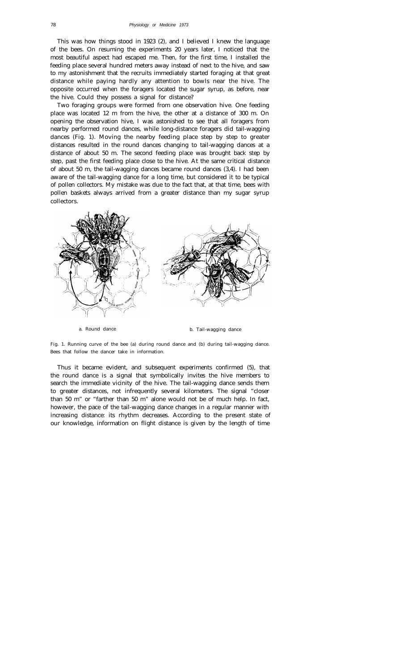This was how things stood in 1923 (2), and I believed I knew the language of the bees. On resuming the experiments 20 years later, I noticed that the most beautiful aspect had escaped me. Then, for the first time, I installed the feeding place several hundred meters away instead of next to the hive, and saw to my astonishment that the recruits immediately started foraging at that great distance while paying hardly any attention to bowls near the hive. The opposite occurred when the foragers located the sugar syrup, as before, near the hive. Could they possess a signal for distance?

Two foraging groups were formed from one observation hive. One feeding place was located 12 m from the hive, the other at a distance of 300 m. On opening the observation hive, I was astonished to see that all foragers from nearby performed round dances, while long-distance foragers did tail-wagging dances (Fig. 1). Moving the nearby feeding place step by step to greater distances resulted in the round dances changing to tail-wagging dances at a distance of about 50 m. The second feeding place was brought back step by step, past the first feeding place close to the hive. At the same critical distance of about 50 m, the tail-wagging dances became round dances (3,4). I had been aware of the tail-wagging dance for a long time, but considered it to be typical of pollen collectors. My mistake was due to the fact that, at that time, bees with pollen baskets always arrived from a greater distance than my sugar syrup collectors.



a. Round dance b. Tail-wagging dance

Fig. 1. Running curve of the bee (a) during round dance and (b) during tail-wagging dance. Bees that follow the dancer take in information.

Thus it became evident, and subsequent experiments confirmed (5), that the round dance is a signal that symbolically invites the hive members to search the immediate vicinity of the hive. The tail-wagging dance sends them to greater distances, not infrequently several kilometers. The signal "closer than 50 m" or "farther than 50 m" alone would not be of much help. In fact, however, the pace of the tail-wagging dance changes in a regular manner with increasing distance: its rhythm decreases. According to the present state of our knowledge, information on flight distance is given by the length of time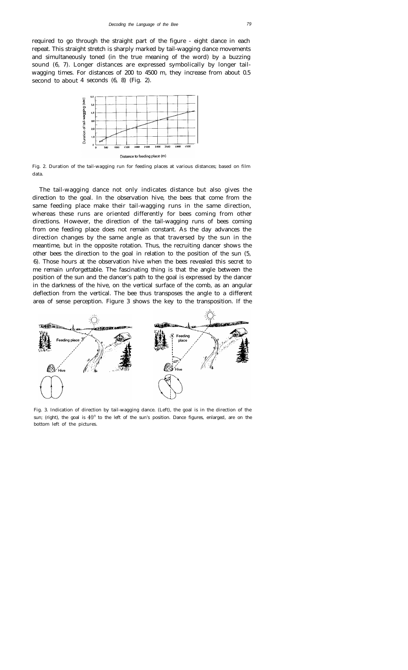required to go through the straight part of the figure - eight dance in each repeat. This straight stretch is sharply marked by tail-wagging dance movements and simultaneously toned (in the true meaning of the word) by a buzzing sound (6, 7). Longer distances are expressed symbolically by longer tailwagging times. For distances of 200 to 4500 m, they increase from about 0.5 second to about 4 seconds (6, 8) (Fig. 2).



Fig. 2. Duration of the tail-wagging run for feeding places at various distances; based on film data.

The tail-wagging dance not only indicates distance but also gives the direction to the goal. In the observation hive, the bees that come from the same feeding place make their tail-wagging runs in the same direction, whereas these runs are oriented differently for bees coming from other directions. However, the direction of the tail-wagging runs of bees coming from one feeding place does not remain constant. As the day advances the direction changes by the same angle as that traversed by the sun in the meantime, but in the opposite rotation. Thus, the recruiting dancer shows the other bees the direction to the goal in relation to the position of the sun (5, 6). Those hours at the observation hive when the bees revealed this secret to me remain unforgettable. The fascinating thing is that the angle between the position of the sun and the dancer's path to the goal is expressed by the dancer in the darkness of the hive, on the vertical surface of the comb, as an angular deflection from the vertical. The bee thus transposes the angle to a different area of sense perception. Figure 3 shows the key to the transposition. If the



Fig. 3. Indication of direction by tail-wagging dance. (Left), the goal is in the direction of the sun; (right), the goal is  $40^{\circ}$  to the left of the sun's position. Dance figures, enlarged, are on the bottom left of the pictures.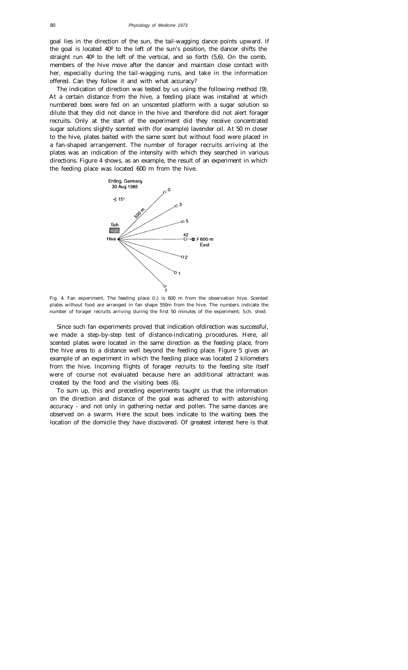goal lies in the direction of the sun, the tail-wagging dance points upward. If the goal is located  $40^{\circ}$  to the left of the sun's position, the dancer shifts the straight run  $40^{\circ}$  to the left of the vertical, and so forth  $(5,6)$ . On the comb, members of the hive move after the dancer and maintain close contact with her, especially during the tail-wagging runs, and take in the information offered. Can they follow it and with what accuracy?

The indication of direction was tested by us using the following method (9). At a certain distance from the hive, a feeding place was installed at which numbered bees were fed on an unscented platform with a sugar solution so dilute that they did not dance in the hive and therefore did not alert forager recruits. Only at the start of the experiment did they receive concentrated sugar solutions slightly scented with (for example) lavender oil. At 50 m closer to the hive, plates baited with the same scent but without food were placed in a fan-shaped arrangement. The number of forager recruits arriving at the plates was an indication of the intensity with which they searched in various directions. Figure 4 shows, as an example, the result of an experiment in which the feeding place was located 600 m from the hive.



Fig. 4. Fan experiment. The feeding place (I;) is 600 m from the observation hive. Scented plates without food are arranged in fan shape 550m from the hive. The numbers indicate the number of forager recruits arriving during the first 50 minutes of the experiment; *Sch,* shed.

Since such fan experiments proved that indication ofdirection was successful, we made a step-by-step test of distance-indicating procedures. Here, all scented plates were located in the same direction as the feeding place, from the hive area to a distance well beyond the feeding place. Figure 5 gives an example of an experiment in which the feeding place was located 2 kilometers from the hive. Incoming flights of forager recruits to the feeding site itself were of course not evaluated because here an additional attractant was created by the food and the visiting bees (6).

To sum up, this and preceding experiments taught us that the information on the direction and distance of the goal was adhered to with astonishing accuracy - and not only in gathering nectar and pollen. The same dances are observed on a swarm. Here the scout bees indicate to the waiting bees the location of the domicile they have discovered. Of greatest interest here is that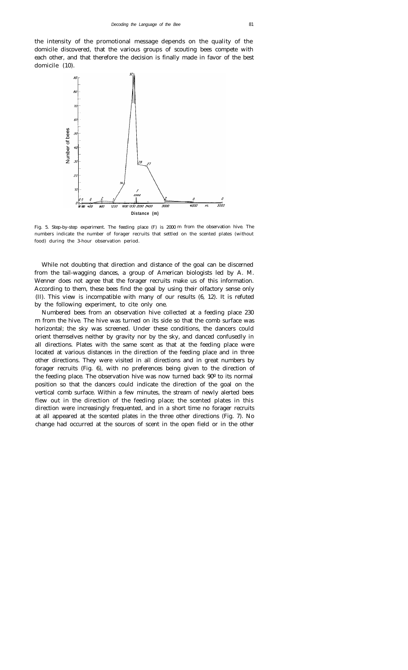the intensity of the promotional message depends on the quality of the domicile discovered, that the various groups of scouting bees compete with each other, and that therefore the decision is finally made in favor of the best domicile (10).



Fig. 5. Step-by-step experiment. The feeding place (F) is 2000 m from the observation hive. The numbers indicate the number of forager recruits that settled on the scented plates (without food) during the 3-hour observation period.

While not doubting that direction and distance of the goal can be discerned from the tail-wagging dances, a group of American biologists led by A. M. Wenner does not agree that the forager recruits make us of this information. According to them, these bees find the goal by using their olfactory sense only (II). This view is incompatible with many of our results (6, 12). It is refuted by the following experiment, to cite only one.

Numbered bees from an observation hive collected at a feeding place 230 m from the hive. The hive was turned on its side so that the comb surface was horizontal; the sky was screened. Under these conditions, the dancers could orient themselves neither by gravity nor by the sky, and danced confusedly in all directions. Plates with the same scent as that at the feeding place were located at various distances in the direction of the feeding place and in three other directions. They were visited in all directions and in great numbers by forager recruits (Fig. 6), with no preferences being given to the direction of the feeding place. The observation hive was now turned back 90º to its normal position so that the dancers could indicate the direction of the goal on the vertical comb surface. Within a few minutes, the stream of newly alerted bees flew out in the direction of the feeding place; the scented plates in this direction were increasingly frequented, and in a short time no forager recruits at all appeared at the scented plates in the three other directions (Fig. 7). No change had occurred at the sources of scent in the open field or in the other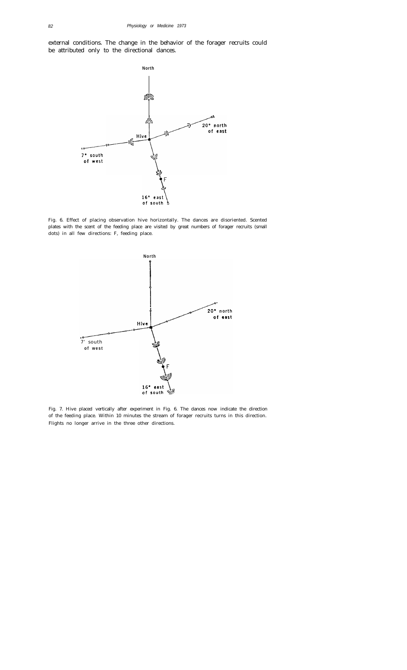external conditions. The change in the behavior of the forager recruits could be attributed only to the directional dances.



Fig. 6. Effect of placing observation hive horizontally. The dances are disoriented. Scented plates with the scent of the feeding place are visited by great numbers of forager recruits (small dots) in all few directions: F, feeding place.



Fig. 7. Hive placed vertically after experiment in Fig. 6. The dances now indicate the direction of the feeding place. Within 10 minutes the stream of forager recruits turns in this direction. Flights no longer arrive in the three other directions.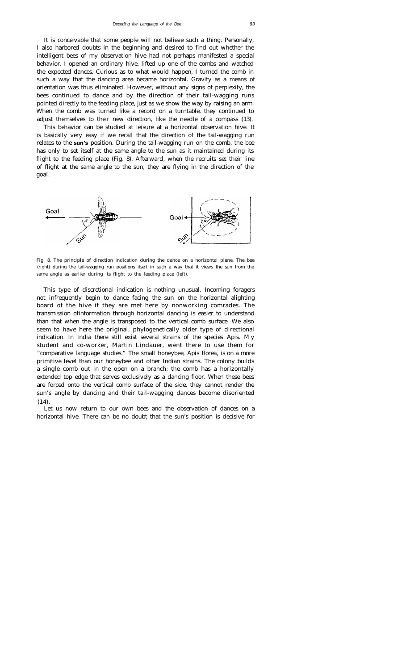It is conceivable that some people will not believe such a thing. Personally, I also harbored doubts in the beginning and desired to find out whether the intelligent bees of my observation hive had not perhaps manifested a special behavior. I opened an ordinary hive, lifted up one of the combs and watched the expected dances. Curious as to what would happen, I turned the comb in such a way that the dancing area became horizontal. Gravity as a means of orientation was thus eliminated. However, without any signs of perplexity, the bees continued to dance and by the direction of their tail-wagging runs pointed directly to the feeding place, just as we show the way by raising an arm. When the comb was turned like a record on a turntable, they continued to adjust themselves to their new direction, like the needle of a compass (13).

This behavior can be studied at leisure at a horizontal observation hive. It is basically very easy if we recall that the direction of the tail-wagging run relates to the **sun's** position. During the tail-wagging run on the comb, the bee has only to set itself at the same angle to the sun as it maintained during its flight to the feeding place (Fig. 8). Afterward, when the recruits set their line of flight at the same angle to the sun, they are flying in the direction of the goal.



Fig. 8. The principle of direction indication during the dance on a horizontal plane. The bee (right) during the tail-wagging run positions itself in such a way that it views the sun from the same angle as earlier during its flight to the feeding place (left).

This type of discretional indication is nothing unusual. Incoming foragers not infrequently begin to dance facing the sun on the horizontal alighting board of the hive if they are met here by nonworking comrades. The transmission ofinformation through horizontal dancing is easier to understand than that when the angle is transposed to the vertical comb surface. We also seem to have here the original, phylogenetically older type of directional indication. In India there still exist several strains of the species *Apis.* M y student and co-worker, Martin Lindauer, went there to use them for "comparative language studies." The small honeybee, *Apis florea,* is on a more primitive level than our honeybee and other Indian strains. The colony builds a single comb out in the open on a branch; the comb has a horizontally extended top edge that serves exclusively as a dancing floor. When these bees are forced onto the vertical comb surface of the side, they cannot render the sun's angle by dancing and their tail-wagging dances become disoriented *(14).*

Let us now return to our own bees and the observation of dances on a horizontal hive. There can be no doubt that the sun's position is decisive for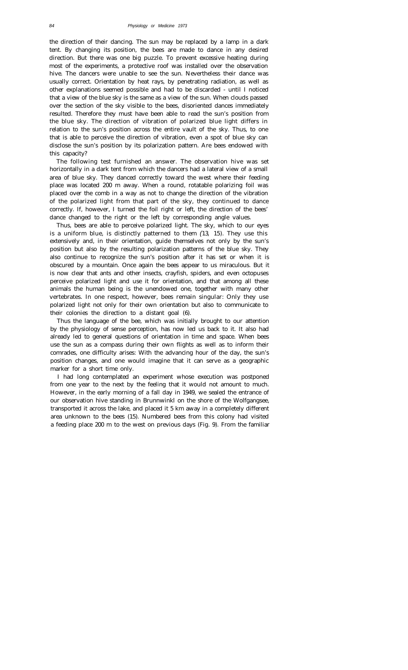the direction of their dancing. The sun may be replaced by a lamp in a dark tent. By changing its position, the bees are made to dance in any desired direction. But there was one big puzzle. To prevent excessive heating during most of the experiments, a protective roof was installed over the observation hive. The dancers were unable to see the sun. Nevertheless their dance was usually correct. Orientation by heat rays, by penetrating radiation, as well as other explanations seemed possible and had to be discarded - until I noticed that a view of the blue sky is the same as a view of the sun. When clouds passed over the section of the sky visible to the bees, disoriented dances immediately resulted. Therefore they must have been able to read the sun's position from the blue sky. The direction of vibration of polarized blue light differs in relation to the sun's position across the entire vault of the sky. Thus, to one that is able to perceive the direction of vibration, even a spot of blue sky can disclose the sun's position by its polarization pattern. Are bees endowed with this capacity?

The following test furnished an answer. The observation hive was set horizontally in a dark tent from which the dancers had a lateral view of a small area of blue sky. They danced correctly toward the west where their feeding place was located 200 m away. When a round, rotatable polarizing foil was placed over the comb in a way as not to change the direction of the vibration of the polarized light from that part of the sky, they continued to dance correctly. If, however, I turned the foil right or left, the direction of the bees' dance changed to the right or the left by corresponding angle values.

Thus, bees are able to perceive polarized light. The sky, which to our eyes is a uniform blue, is distinctly patterned to them *(*13*,* 15). They use this extensively and, in their orientation, guide themselves not only by the sun's position but also by the resulting polarization patterns of the blue sky. They also continue to recognize the sun's position after it has set or when it is obscured by a mountain. Once again the bees appear to us miraculous. But it is now clear that ants and other insects, crayfish, spiders, and even octopuses perceive polarized light and use it for orientation, and that among all these animals the human being is the unendowed one, together with many other vertebrates. In one respect, however, bees remain singular: Only they use polarized light not only for their own orientation but also to communicate to their colonies the direction to a distant goal (6).

Thus the language of the bee, which was initially brought to our attention by the physiology of sense perception, has now led us back to it. It also had already led to general questions of orientation in time and space. When bees use the sun as a compass during their own flights as well as to inform their comrades, one difficulty arises: With the advancing hour of the day, the sun's position changes, and one would imagine that it can serve as a geographic marker for a short time only.

I had long contemplated an experiment whose execution was postponed from one year to the next by the feeling that it would not amount to much. However, in the early morning of a fall day in 1949, we sealed the entrance of our observation hive standing in Brunnwinkl on the shore of the Wolfgangsee, transported it across the lake, and placed it 5 km away in a completely different area unknown to the bees (15). Numbered bees from this colony had visited a feeding place 200 m to the west on previous days (Fig. 9). From the familiar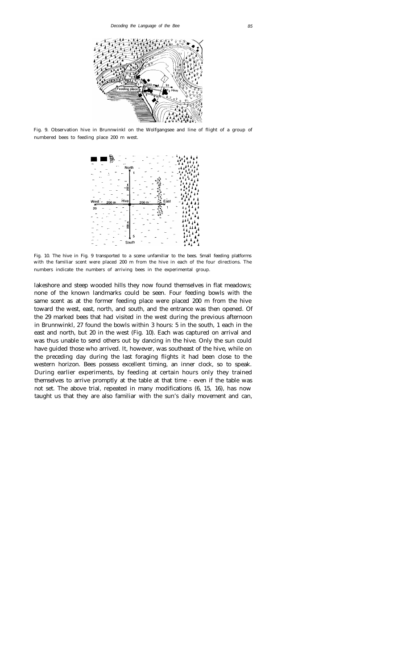

Fig. 9. Observation hive in Brunnwinkl on the Wolfgangsee and line of flight of a group of numbered bees to feeding place 200 m west.



Fig. 10. The hive in Fig. 9 transported to a scene unfamiliar to the bees. Small feeding platforms with the familiar scent were placed 200 m from the hive in each of the four directions. The numbers indicate the numbers of arriving bees in the experimental group.

lakeshore and steep wooded hills they now found themselves in flat meadows; none of the known landmarks could be seen. Four feeding bowls with the same scent as at the former feeding place were placed 200 m from the hive toward the west, east, north, and south, and the entrance was then opened. Of the 29 marked bees that had visited in the west during the previous afternoon in Brunnwinkl, 27 found the bowls within 3 hours: 5 in the south, 1 each in the east and north, but 20 in the west (Fig. 10). Each was captured on arrival and was thus unable to send others out by dancing in the hive. Only the sun could have guided those who arrived. It, however, was southeast of the hive, while on the preceding day during the last foraging flights it had been close to the western horizon. Bees possess excellent timing, an inner clock, so to speak. During earlier experiments, by feeding at certain hours only they trained themselves to arrive promptly at the table at that time - even if the table was not set. The above trial, repeated in many modifications (6, 15, 16*),* has now taught us that they are also familiar with the sun's daily movement and can,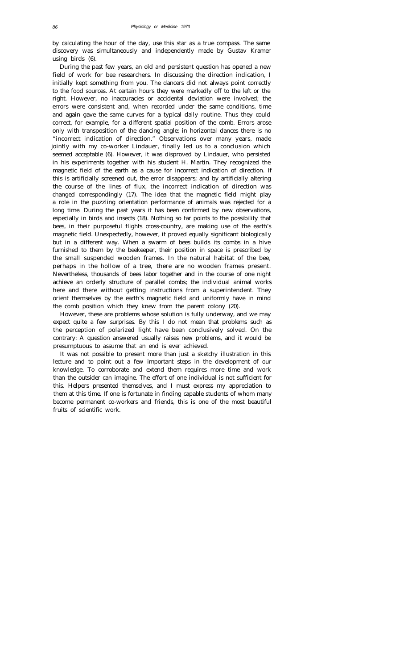by calculating the hour of the day, use this star as a true compass. The same discovery was simultaneously and independently made by Gustav Kramer using birds (6).

During the past few years, an old and persistent question has opened a new field of work for bee researchers. In discussing the direction indication, I initially kept something from you. The dancers did not always point correctly to the food sources. At certain hours they were markedly off to the left or the right. However, no inaccuracies or accidental deviation were involved; the errors were consistent and, when recorded under the same conditions, time and again gave the same curves for a typical daily routine. Thus they could correct, for example, for a different spatial position of the comb. Errors arose only with transposition of the dancing angle; in horizontal dances there is no "incorrect indication of direction." Observations over many years, made jointly with my co-worker Lindauer, finally led us to a conclusion which seemed acceptable (6). However, it was disproved by Lindauer, who persisted in his experiments together with his student H. Martin. They recognized the magnetic field of the earth as a cause for incorrect indication of direction. If this is artificially screened out, the error disappears; and by artificially altering the course of the lines of flux, the incorrect indication of direction was changed correspondingly (17). The idea that the magnetic field might play a role in the puzzling orientation performance of animals was rejected for a long time. During the past years it has been confirmed by new observations, especially in birds and insects (18). Nothing so far points to the possibility that bees, in their purposeful flights cross-country, are making use of the earth's magnetic field. Unexpectedly, however, it proved equally significant biologically but in a different way. When a swarm of bees builds its combs in a hive furnished to them by the beekeeper, their position in space is prescribed by the small suspended wooden frames. In the natural habitat of the bee, perhaps in the hollow of a tree, there are no wooden frames present. Nevertheless, thousands of bees labor together and in the course of one night achieve an orderly structure of parallel combs; the individual animal works here and there without getting instructions from a superintendent. They orient themselves by the earth's magnetic field and uniformly have in mind the comb position which they knew from the parent colony (20).

However, these are problems whose solution is fully underway, and we may expect quite a few surprises. By this I do not mean that problems such as the perception of polarized light have been conclusively solved. On the contrary: A question answered usually raises new problems, and it would be presumptuous to assume that an end is ever achieved.

It was not possible to present more than just a sketchy illustration in this lecture and to point out a few important steps in the development of our knowledge. To corroborate and extend them requires more time and work than the outsider can imagine. The effort of one individual is not sufficient for this. Helpers presented themselves, and I must express my appreciation to them at this time. If one is fortunate in finding capable students of whom many become permanent co-workers and friends, this is one of the most beautiful fruits of scientific work.